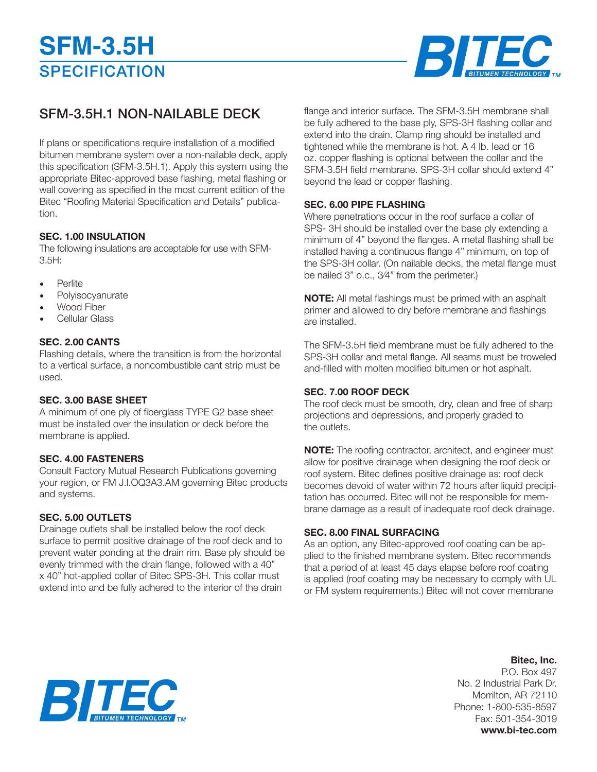

## SFM-3.5H.1 NON-NAILABLE DECK

If plans or specifications require installation of a modified bitumen membrane system over a non-nailable deck, apply this specification (SFM-3.5H.1). Apply this system using the appropriate Bitec-approved base flashing, metal flashing or wall covering as specified in the most current edition of the Bitec "Roofing Material Specification and Details" publication.

#### **SEC. 1.00 INSULATION**

The following insulations are acceptable for use with SFM- $3.5H:$ 

- Perlite
- **Polyisocyanurate**
- Wood Fiber
- Cellular Glass

#### **SEC. 2.00 CANTS**

Flashing details, where the transition is from the horizontal to a vertical surface, a noncombustible cant strip must be used.

#### **SEC. 3.00 BASE SHEET**

A minimum of one ply of fiberglass TYPE G2 base sheet must be installed over the insulation or deck before the membrane is applied.

#### **SEC. 4.00 FASTENERS**

Consult Factory Mutual Research Publications governing your region, or FM J.l.OQ3A3.AM governing Bitec products and systems.

#### **SEC. 5.00 OUTLETS**

Drainage outlets shall be installed below the roof deck surface to permit positive drainage of the roof deck and to prevent water ponding at the drain rim. Base ply should be evenly trimmed with the drain flange, followed with a 40" x 40" hot-applied collar of Bitec SPS-3H. This collar must extend into and be fully adhered to the interior of the drain

flange and interior surface. The SFM-3.5H membrane shall be fully adhered to the base ply, SPS-3H flashing collar and extend into the drain. Clamp ring should be installed and tightened while the membrane is hot. A 4 lb. Iead or 16 oz. copper flashing is optional between the collar and the SFM-3.5H field membrane. SPS-3H collar should extend 4" beyond the lead or copper flashing.

#### **SEC. 6.00 PIPE FLASHING**

Where penetrations occur in the roof surface a collar of SPS- 3H should be installed over the base ply extending a minimum of 4" beyond the flanges. A metal flashing shall be installed having a continuous flange 4" minimum, on top of the SPS-3H collar. (On nailable decks, the metal flange must be nailed 3" o.c., 3⁄4" from the perimeter.)

**NOTE:** All metal flashings must be primed with an asphalt primer and allowed to dry before membrane and flashings are installed.

The SFM-3.5H field membrane must be fully adhered to the SPS-3H collar and metal flange. All seams must be troweled and-filled with molten modified bitumen or hot asphalt.

#### **SEC. 7.00 ROOF DECK**

The roof deck must be smooth, dry, clean and free of sharp projections and depressions, and properly graded to the outlets.

**NOTE:** The roofing contractor, architect, and engineer must allow for positive drainage when designing the roof deck or roof system. Bitec defines positive drainage as: roof deck becomes devoid of water within 72 hours after liquid precipitation has occurred. Bitec will not be responsible for membrane damage as a result of inadequate roof deck drainage.

#### **SEC. 8.00 FINAL SURFACING**

As an option, any Bitec-approved roof coating can be applied to the finished membrane system. Bitec recommends that a period of at least 45 days elapse before roof coating is applied (roof coating may be necessary to comply with UL or FM system requirements.) Bitec will not cover membrane

### **Bitec, Inc.**

P.O. Box 497 No. 2 Industrial Park Dr. Morrilton, AR 72110 Phone: 1-800-535-8597 Fax: 501-354-3019 **www.bi-tec.com**